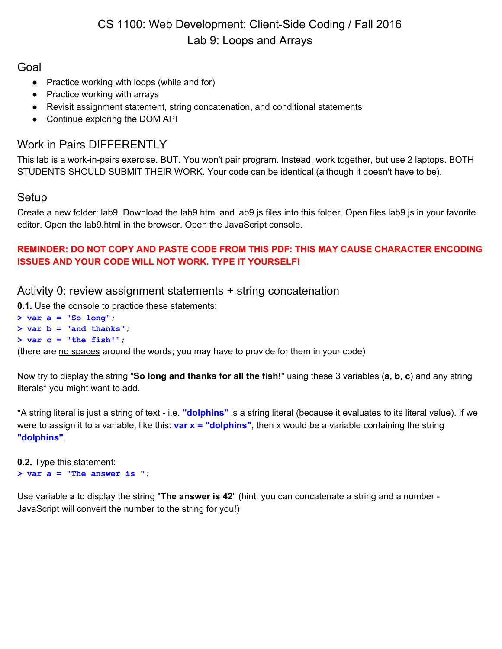# CS 1100: Web Development: Client-Side Coding / Fall 2016 Lab 9: Loops and Arrays

## Goal

- Practice working with loops (while and for)
- Practice working with arrays
- Revisit assignment statement, string concatenation, and conditional statements
- Continue exploring the DOM API

# Work in Pairs DIFFERENTLY

This lab is a work-in-pairs exercise. BUT. You won't pair program. Instead, work together, but use 2 laptops. BOTH STUDENTS SHOULD SUBMIT THEIR WORK. Your code can be identical (although it doesn't have to be).

## Setup

Create a new folder: lab9. Download the lab9.html and lab9.js files into this folder. Open files lab9.js in your favorite editor. Open the lab9.html in the browser. Open the JavaScript console.

#### **REMINDER: DO NOT COPY AND PASTE CODE FROM THIS PDF: THIS MAY CAUSE CHARACTER ENCODING ISSUES AND YOUR CODE WILL NOT WORK. TYPE IT YOURSELF!**

#### Activity 0: review assignment statements + string concatenation

**0.1.** Use the console to practice these statements:

**> var a = "So long"; > var b = "and thanks"; > var c = "the fish!";**

(there are no spaces around the words; you may have to provide for them in your code)

Now try to display the string "**So long and thanks for all the fish!**" using these 3 variables (**a, b, c**) and any string literals\* you might want to add.

\*A string literal is just a string of text - i.e. **"dolphins"** i s a string literal (because it evaluates to its literal value). If we were to assign it to a variable, like this: **var x = "dolphins"**, then x would be a variable containing the string **"dolphins"**.

```
0.2. Type this statement:
> var a = "The answer is ";
```
Use variable **a** to display the string "**The answer is 42**" (hint: you can concatenate a string and a number - JavaScript will convert the number to the string for you!)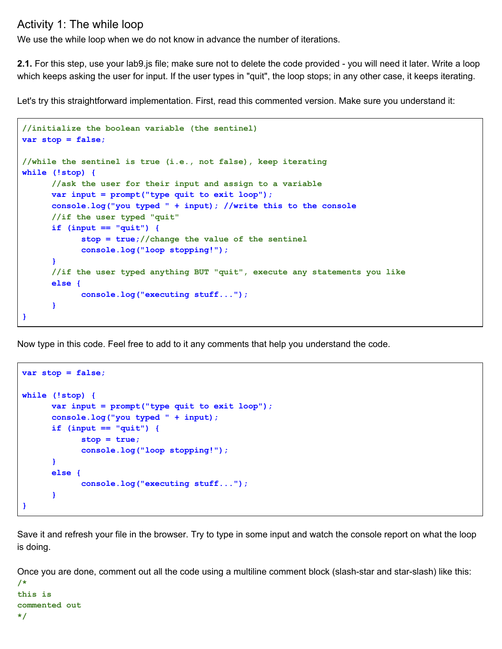## Activity 1: The while loop

We use the while loop when we do not know in advance the number of iterations.

**2.1.** For this step, use your lab9.js file; make sure not to delete the code provided - you will need it later. Write a loop which keeps asking the user for input. If the user types in "quit", the loop stops; in any other case, it keeps iterating.

Let's try this straightforward implementation. First, read this commented version. Make sure you understand it:

```
//initialize the boolean variable (the sentinel)
var stop = false;
//while the sentinel is true (i.e., not false), keep iterating
while (!stop) {
      //ask the user for their input and assign to a variable
      var input = prompt("type quit to exit loop");
      console.log("you typed " + input); //write this to the console
      //if the user typed "quit"
      if (input == "quit") {
            stop = true;//change the value of the sentinel
            console.log("loop stopping!");
      }
      //if the user typed anything BUT "quit", execute any statements you like
      else {
            console.log("executing stuff...");
      }
}
```
Now type in this code. Feel free to add to it any comments that help you understand the code.

```
var stop = false;
while (!stop) {
      var input = prompt("type quit to exit loop");
      console.log("you typed " + input);
      if (input == "quit") {
            stop = true;
            console.log("loop stopping!");
      }
      else {
            console.log("executing stuff...");
      }
}
```
Save it and refresh your file in the browser. Try to type in some input and watch the console report on what the loop is doing.

Once you are done, comment out all the code using a multiline comment block (slash-star and star-slash) like this:

```
/*
this is
commented out
*/
```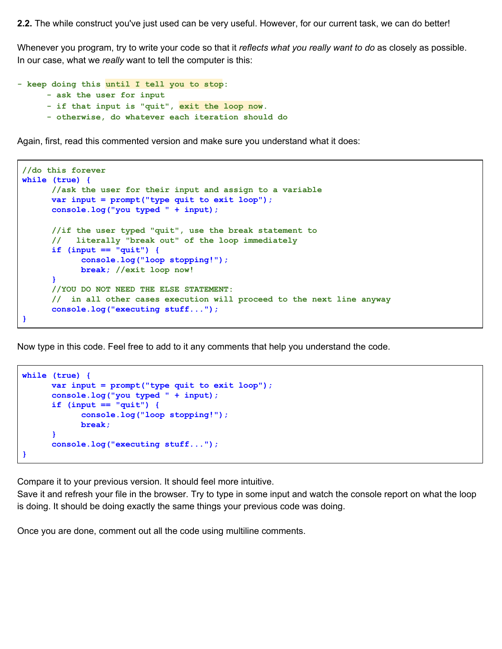**2.2.** The while construct you've just used can be very useful. However, for our current task, we can do better!

Whenever you program, try to write your code so that it *reflects what you really want to do* as closely as possible. In our case, what we *really* want to tell the computer is this:

```
- keep doing this until I tell you to stop:
      - ask the user for input
      - if that input is "quit", exit the loop now.
      - otherwise, do whatever each iteration should do
```
Again, first, read this commented version and make sure you understand what it does:

```
//do this forever
while (true) {
      //ask the user for their input and assign to a variable
      var input = prompt("type quit to exit loop");
       console.log("you typed " + input);
      //if the user typed "quit", use the break statement to
       // literally "break out" of the loop immediately
      if (input == "quit") {
            console.log("loop stopping!");
            break; //exit loop now!
      }
      //YOU DO NOT NEED THE ELSE STATEMENT:
       // in all other cases execution will proceed to the next line anyway
      console.log("executing stuff...");
}
```
Now type in this code. Feel free to add to it any comments that help you understand the code.

```
while (true) {
      var input = prompt("type quit to exit loop");
      console.log("you typed " + input);
      if (input == "quit") {
            console.log("loop stopping!");
            break;
      }
      console.log("executing stuff...");
}
```
Compare it to your previous version. It should feel more intuitive.

Save it and refresh your file in the browser. Try to type in some input and watch the console report on what the loop is doing. It should be doing exactly the same things your previous code was doing.

Once you are done, comment out all the code using multiline comments.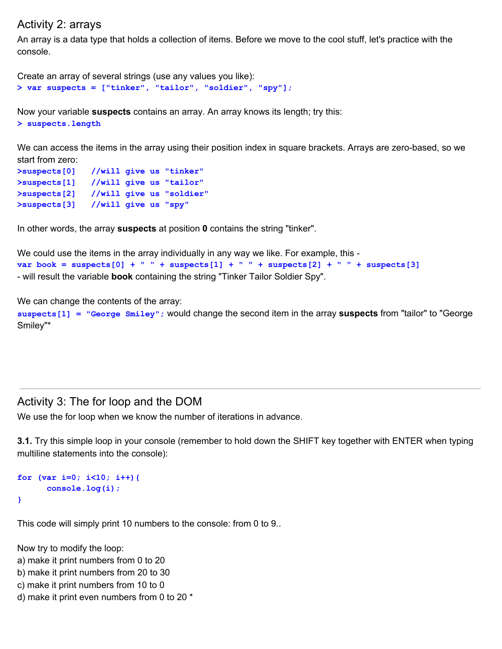#### Activity 2: arrays

An array is a data type that holds a collection of items. Before we move to the cool stuff, let's practice with the console.

```
Create an array of several strings (use any values you like):
> var suspects = ["tinker", "tailor", "soldier", "spy"];
```
Now your variable **suspects** contains an array. An array knows its length; try this: **> suspects.length**

We can access the items in the array using their position index in square brackets. Arrays are zero-based, so we start from zero:

```
>suspects[0] //will give us "tinker"
>suspects[1] //will give us "tailor"
>suspects[2] //will give us "soldier"
>suspects[3] //will give us "spy"
```
In other words, the array **suspects** at position **0** contains the string "tinker".

```
We could use the items in the array individually in any way we like. For example, this -
var book = suspects[0] + " " + suspects[1] + " " + suspects[2] + " " + suspects[3]
- will result the variable book containing the string "Tinker Tailor Soldier Spy".
```
We can change the contents of the array:

suspects [1] = "George Smiley"; would change the second item in the array suspects from "tailor" to "George Smiley"\*

#### Activity 3: The for loop and the DOM

We use the for loop when we know the number of iterations in advance.

**3.1.** Try this simple loop in your console (remember to hold down the SHIFT key together with ENTER when typing multiline statements into the console):

```
for (var i=0; i<10; i++){
      console.log(i);
}
```
This code will simply print 10 numbers to the console: from 0 to 9..

Now try to modify the loop:

a) make it print numbers from 0 to 20

b) make it print numbers from 20 to 30

c) make it print numbers from 10 to 0

d) make it print even numbers from 0 to 20 \*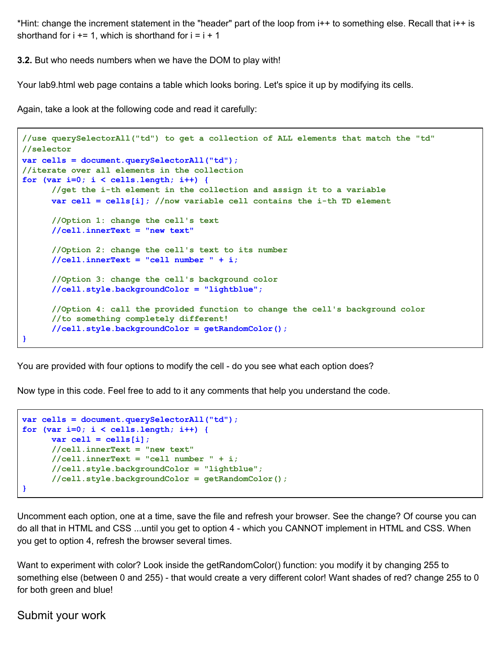\*Hint: change the increment statement in the "header" part of the loop from i++ to something else. Recall that i++ is shorthand for  $i + = 1$ , which is shorthand for  $i = i + 1$ 

**3.2.** But who needs numbers when we have the DOM to play with!

Your lab9.html web page contains a table which looks boring. Let's spice it up by modifying its cells.

Again, take a look at the following code and read it carefully:

```
//use querySelectorAll("td") to get a collection of ALL elements that match the "td"
//selector
var cells = document.querySelectorAll("td");
//iterate over all elements in the collection
for (var i=0; i < cells.length; i++) {
       //get the i-th element in the collection and assign it to a variable
      var cell = cells[i]; //now variable cell contains the i-th TD element
        //Option 1: change the cell's text
       //cell.innerText = "new text"
       //Option 2: change the cell's text to its number
      //cell.innerText = "cell number " + i;
       //Option 3: change the cell's background color
      //cell.style.backgroundColor = "lightblue";
       //Option 4: call the provided function to change the cell's background color
       //to something completely different!
      //cell.style.backgroundColor = getRandomColor();
}
```
You are provided with four options to modify the cell - do you see what each option does?

Now type in this code. Feel free to add to it any comments that help you understand the code.

```
var cells = document.querySelectorAll("td");
for (var i=0; i < cells.length; i++) {
     var cell = cells[i];
       //cell.innerText = "new text"
     //cell.innerText = "cell number " + i;
     //cell.style.backgroundColor = "lightblue";
      //cell.style.backgroundColor = getRandomColor();
}
```
Uncomment each option, one at a time, save the file and refresh your browser. See the change? Of course you can do all that in HTML and CSS ...until you get to option 4 - which you CANNOT implement in HTML and CSS. When you get to option 4, refresh the browser several times.

Want to experiment with color? Look inside the getRandomColor() function: you modify it by changing 255 to something else (between 0 and 255) - that would create a very different color! Want shades of red? change 255 to 0 for both green and blue!

Submit your work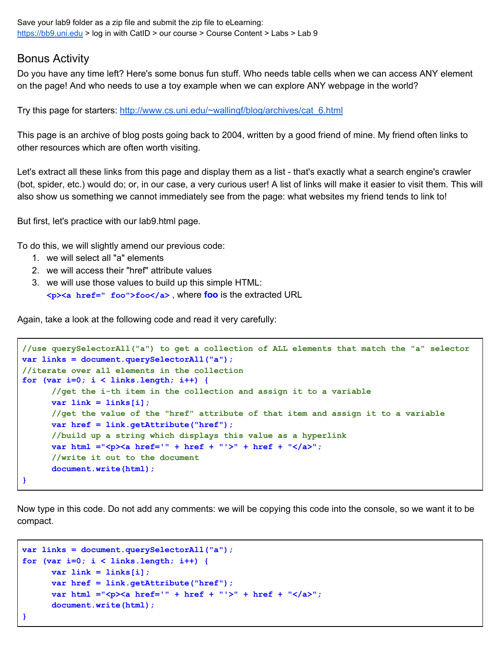Save your lab9 folder as a zip file and submit the zip file to eLearning: [https://bb9.uni.edu](https://bb9.uni.edu/) > log in with CatID > our course > Course Content > Labs > Lab 9

#### Bonus Activity

Do you have any time left? Here's some bonus fun stuff. Who needs table cells when we can access ANY element on the page! And who needs to use a toy example when we can explore ANY webpage in the world?

Try this page for starters: [http://www.cs.uni.edu/~wallingf/blog/archives/cat\\_6.html](http://www.cs.uni.edu/~wallingf/blog/archives/cat_6.html)

This page is an archive of blog posts going back to 2004, written by a good friend of mine. My friend often links to other resources which are often worth visiting.

Let's extract all these links from this page and display them as a list - that's exactly what a search engine's crawler (bot, spider, etc.) would do; or, in our case, a very curious user! A list of links will make it easier to visit them. This will also show us something we cannot immediately see from the page: what websites my friend tends to link to!

But first, let's practice with our lab9.html page.

To do this, we will slightly amend our previous code:

- 1. we will select all "a" elements
- 2. we will access their "href" attribute values
- 3. we will use those values to build up this simple HTML: **<p><a href=" foo">foo</a>** , where **foo** is the extracted URL

Again, take a look at the following code and read it very carefully:

```
//use querySelectorAll("a") to get a collection of ALL elements that match the "a" selector
var links = document.querySelectorAll("a");
//iterate over all elements in the collection
for (var i=0; i < links.length; i++) {
      //get the i-th item in the collection and assign it to a variable
      var link = links[i];
     //get the value of the "href" attribute of that item and assign it to a variable
     var href = link.getAttribute("href");
      //build up a string which displays this value as a hyperlink
     var html ="<p><a href='" + href + "'>" + href + "</a>";
      //write it out to the document
      document.write(html);
}
```
Now type in this code. Do not add any comments: we will be copying this code into the console, so we want it to be compact.

```
var links = document.querySelectorAll("a");
for (var i=0; i < links.length; i++) {
     var link = links[i];
     var href = link.getAttribute("href");
      var html ="<p><a href='" + href + "'>" + href + "</a>";
      document.write(html);
}
```